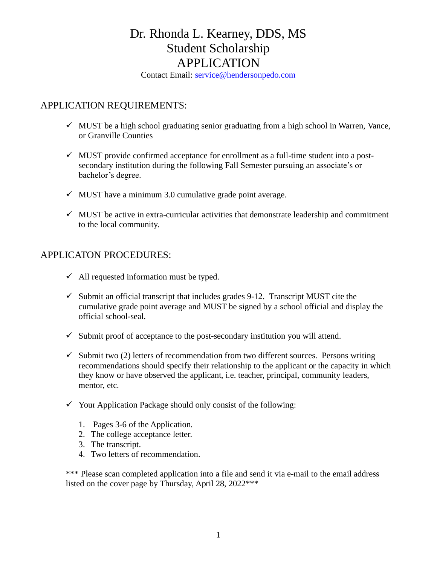Contact Email: [service@hendersonpedo.com](mailto:service@hendersonpedo.com)

## APPLICATION REQUIREMENTS:

- $\checkmark$  MUST be a high school graduating senior graduating from a high school in Warren, Vance, or Granville Counties
- $\checkmark$  MUST provide confirmed acceptance for enrollment as a full-time student into a postsecondary institution during the following Fall Semester pursuing an associate's or bachelor's degree.
- $\checkmark$  MUST have a minimum 3.0 cumulative grade point average.
- $\checkmark$  MUST be active in extra-curricular activities that demonstrate leadership and commitment to the local community.

### APPLICATON PROCEDURES:

- $\checkmark$  All requested information must be typed.
- $\checkmark$  Submit an official transcript that includes grades 9-12. Transcript MUST cite the cumulative grade point average and MUST be signed by a school official and display the official school-seal.
- $\checkmark$  Submit proof of acceptance to the post-secondary institution you will attend.
- $\checkmark$  Submit two (2) letters of recommendation from two different sources. Persons writing recommendations should specify their relationship to the applicant or the capacity in which they know or have observed the applicant, i.e. teacher, principal, community leaders, mentor, etc.
- $\checkmark$  Your Application Package should only consist of the following:
	- 1. Pages 3-6 of the Application.
	- 2. The college acceptance letter.
	- 3. The transcript.
	- 4. Two letters of recommendation.

\*\*\* Please scan completed application into a file and send it via e-mail to the email address listed on the cover page by Thursday, April 28, 2022\*\*\*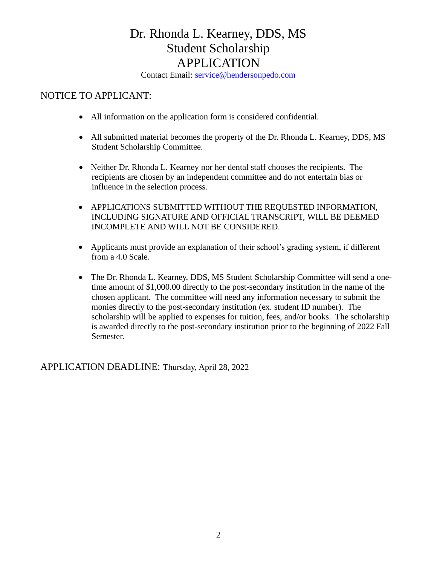Contact Email: [service@hendersonpedo.com](mailto:service@hendersonpedo.com)

### NOTICE TO APPLICANT:

- All information on the application form is considered confidential.
- All submitted material becomes the property of the Dr. Rhonda L. Kearney, DDS, MS Student Scholarship Committee.
- Neither Dr. Rhonda L. Kearney nor her dental staff chooses the recipients. The recipients are chosen by an independent committee and do not entertain bias or influence in the selection process.
- APPLICATIONS SUBMITTED WITHOUT THE REQUESTED INFORMATION, INCLUDING SIGNATURE AND OFFICIAL TRANSCRIPT, WILL BE DEEMED INCOMPLETE AND WILL NOT BE CONSIDERED.
- Applicants must provide an explanation of their school's grading system, if different from a 4.0 Scale.
- The Dr. Rhonda L. Kearney, DDS, MS Student Scholarship Committee will send a onetime amount of \$1,000.00 directly to the post-secondary institution in the name of the chosen applicant. The committee will need any information necessary to submit the monies directly to the post-secondary institution (ex. student ID number). The scholarship will be applied to expenses for tuition, fees, and/or books. The scholarship is awarded directly to the post-secondary institution prior to the beginning of 2022 Fall Semester.

APPLICATION DEADLINE: Thursday, April 28, 2022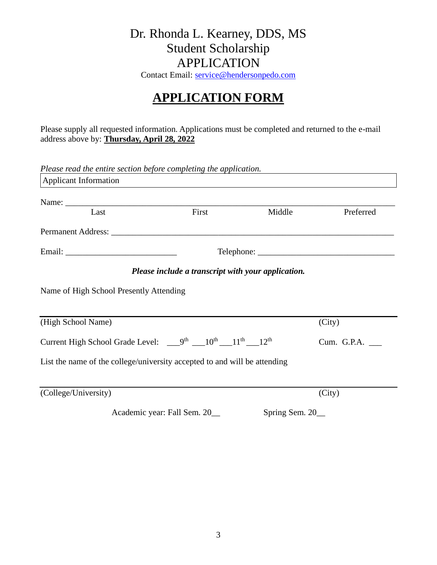Contact Email: [service@hendersonpedo.com](mailto:service@hendersonpedo.com)

# **APPLICATION FORM**

Please supply all requested information. Applications must be completed and returned to the e-mail address above by: **Thursday, April 28, 2022**

| Please read the entire section before completing the application.                                          |                                                    |                |            |
|------------------------------------------------------------------------------------------------------------|----------------------------------------------------|----------------|------------|
| <b>Applicant Information</b>                                                                               |                                                    |                |            |
|                                                                                                            |                                                    |                |            |
| Last                                                                                                       | First                                              | Middle         | Preferred  |
|                                                                                                            |                                                    |                |            |
|                                                                                                            |                                                    |                | Telephone: |
|                                                                                                            | Please include a transcript with your application. |                |            |
| Name of High School Presently Attending                                                                    |                                                    |                |            |
| (High School Name)                                                                                         |                                                    |                | (City)     |
| Current High School Grade Level: _9 <sup>th</sup> __10 <sup>th</sup> __11 <sup>th</sup> __12 <sup>th</sup> | Cum. G.P.A. ____                                   |                |            |
| List the name of the college/university accepted to and will be attending                                  |                                                    |                |            |
| (College/University)                                                                                       |                                                    |                | (City)     |
|                                                                                                            | Academic year: Fall Sem. 20_                       | Spring Sem. 20 |            |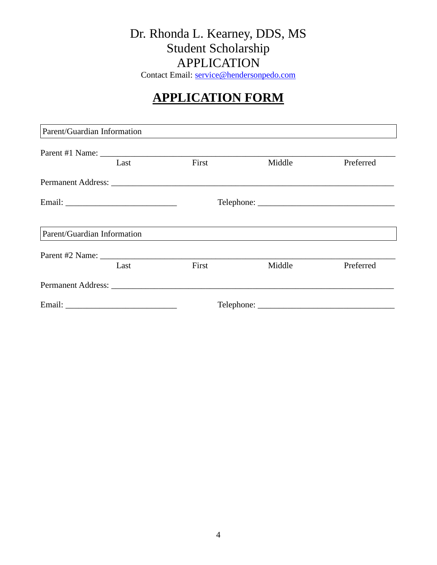Contact Email: [service@hendersonpedo.com](mailto:service@hendersonpedo.com)

# **APPLICATION FORM**

| Parent/Guardian Information |      |       |        |           |  |  |
|-----------------------------|------|-------|--------|-----------|--|--|
|                             | Last | First | Middle | Preferred |  |  |
|                             |      |       |        |           |  |  |
|                             |      |       |        |           |  |  |
| Parent/Guardian Information |      |       |        |           |  |  |
|                             | Last | First | Middle | Preferred |  |  |
|                             |      |       |        |           |  |  |
|                             |      |       |        |           |  |  |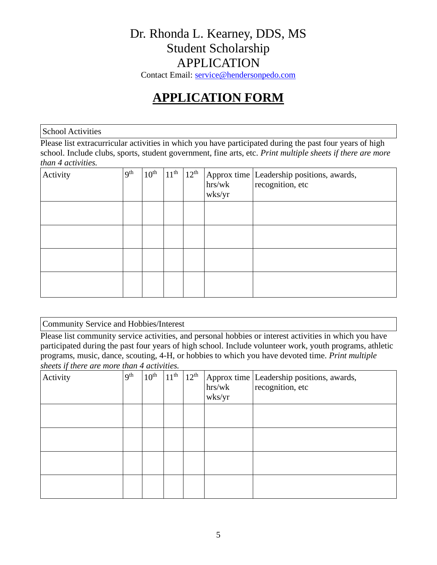Contact Email: [service@hendersonpedo.com](mailto:service@hendersonpedo.com)

# **APPLICATION FORM**

School Activities

Please list extracurricular activities in which you have participated during the past four years of high school. Include clubs, sports, student government, fine arts, etc. *Print multiple sheets if there are more than 4 activities.*

| Activity | 9 <sup>th</sup> | 10 <sup>th</sup> | 11 <sup>th</sup> | $12^{th}$ | hrs/wk<br>wks/yr | Approx time Leadership positions, awards,<br>recognition, etc |
|----------|-----------------|------------------|------------------|-----------|------------------|---------------------------------------------------------------|
|          |                 |                  |                  |           |                  |                                                               |
|          |                 |                  |                  |           |                  |                                                               |
|          |                 |                  |                  |           |                  |                                                               |
|          |                 |                  |                  |           |                  |                                                               |

### Community Service and Hobbies/Interest

Please list community service activities, and personal hobbies or interest activities in which you have participated during the past four years of high school. Include volunteer work, youth programs, athletic programs, music, dance, scouting, 4-H, or hobbies to which you have devoted time. *Print multiple sheets if there are more than 4 activities.*

| $\cdot$<br>Activity | 9 <sup>th</sup> | $10^{\text{th}}$ | $11^{\text{th}}$ | $12^{th}$ | hrs/wk<br>wks/yr | Approx time Leadership positions, awards,<br>recognition, etc |
|---------------------|-----------------|------------------|------------------|-----------|------------------|---------------------------------------------------------------|
|                     |                 |                  |                  |           |                  |                                                               |
|                     |                 |                  |                  |           |                  |                                                               |
|                     |                 |                  |                  |           |                  |                                                               |
|                     |                 |                  |                  |           |                  |                                                               |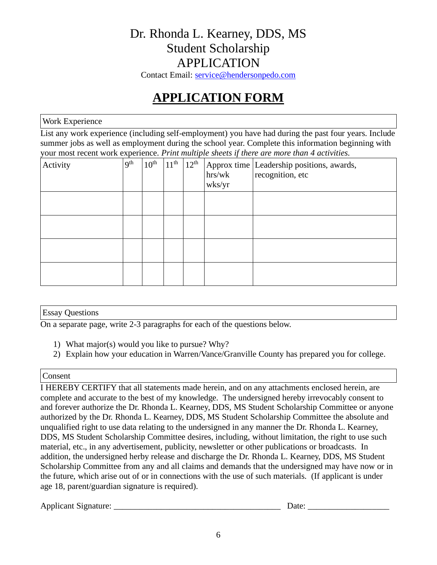Contact Email: [service@hendersonpedo.com](mailto:service@hendersonpedo.com)

# **APPLICATION FORM**

### Work Experience

List any work experience (including self-employment) you have had during the past four years. Include summer jobs as well as employment during the school year. Complete this information beginning with your most recent work experience. *Print multiple sheets if there are more than 4 activities.*

| Activity | 9 <sup>th</sup> | 10 <sup>th</sup> | 11 <sup>th</sup> | $12^{\text{th}}$ | hrs/wk<br>wks/yr | Approx time Leadership positions, awards,<br>recognition, etc |
|----------|-----------------|------------------|------------------|------------------|------------------|---------------------------------------------------------------|
|          |                 |                  |                  |                  |                  |                                                               |
|          |                 |                  |                  |                  |                  |                                                               |
|          |                 |                  |                  |                  |                  |                                                               |
|          |                 |                  |                  |                  |                  |                                                               |

#### Essay Questions

On a separate page, write 2-3 paragraphs for each of the questions below.

- 1) What major(s) would you like to pursue? Why?
- 2) Explain how your education in Warren/Vance/Granville County has prepared you for college.

#### Consent

I HEREBY CERTIFY that all statements made herein, and on any attachments enclosed herein, are complete and accurate to the best of my knowledge. The undersigned hereby irrevocably consent to and forever authorize the Dr. Rhonda L. Kearney, DDS, MS Student Scholarship Committee or anyone authorized by the Dr. Rhonda L. Kearney, DDS, MS Student Scholarship Committee the absolute and unqualified right to use data relating to the undersigned in any manner the Dr. Rhonda L. Kearney, DDS, MS Student Scholarship Committee desires, including, without limitation, the right to use such material, etc., in any advertisement, publicity, newsletter or other publications or broadcasts. In addition, the undersigned herby release and discharge the Dr. Rhonda L. Kearney, DDS, MS Student Scholarship Committee from any and all claims and demands that the undersigned may have now or in the future, which arise out of or in connections with the use of such materials. (If applicant is under age 18, parent/guardian signature is required).

Applicant Signature: \_\_\_\_\_\_\_\_\_\_\_\_\_\_\_\_\_\_\_\_\_\_\_\_\_\_\_\_\_\_\_\_\_\_\_\_\_\_\_ Date: \_\_\_\_\_\_\_\_\_\_\_\_\_\_\_\_\_\_\_